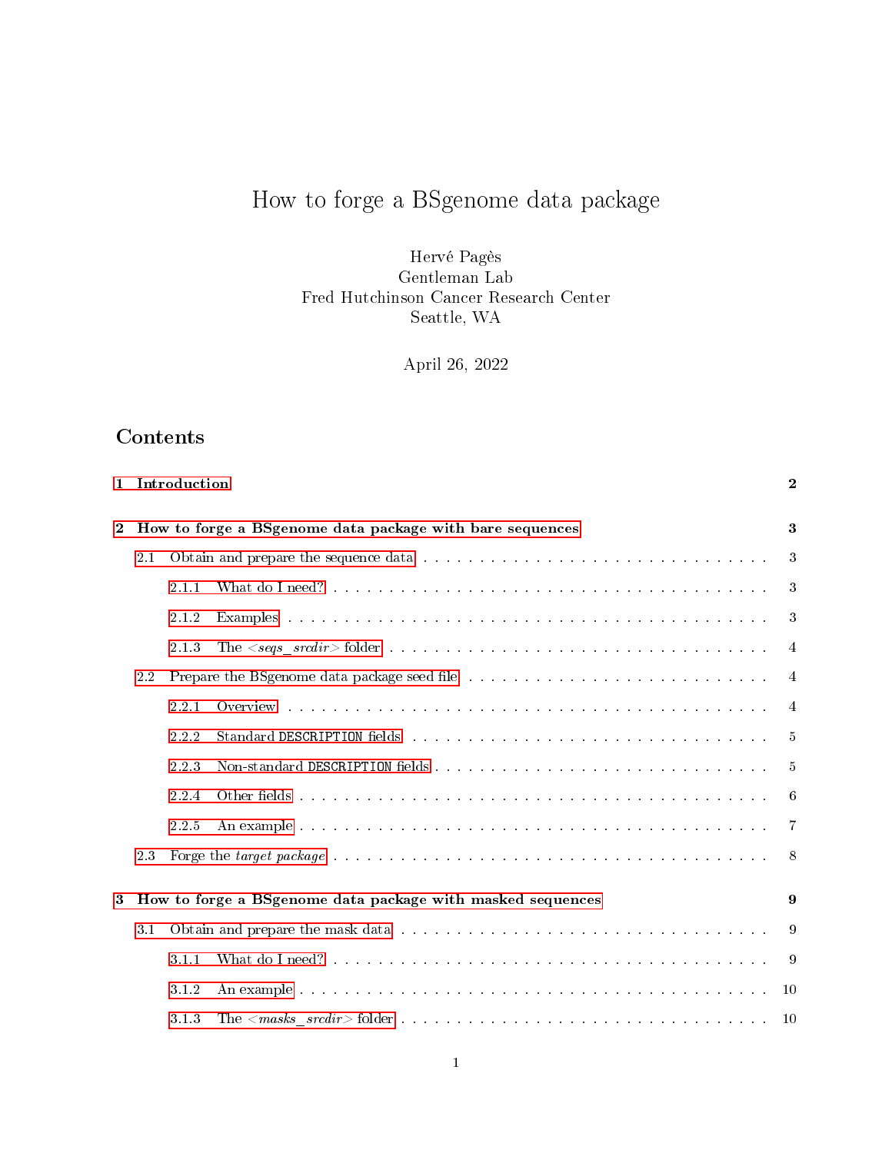# How to forge a BSgenome data package

Hervé Pagès Gentleman Lab Fred Hutchinson Cancer Research Center Seattle, WA

April 26, 2022

## Contents

| 1 Introduction                                                                                                                                                                                                                       |                                                          |                                                            |                                                                                                                                                                                                                                |                  |  |  |
|--------------------------------------------------------------------------------------------------------------------------------------------------------------------------------------------------------------------------------------|----------------------------------------------------------|------------------------------------------------------------|--------------------------------------------------------------------------------------------------------------------------------------------------------------------------------------------------------------------------------|------------------|--|--|
| $\bf{2}$                                                                                                                                                                                                                             | How to forge a BSgenome data package with bare sequences |                                                            |                                                                                                                                                                                                                                |                  |  |  |
|                                                                                                                                                                                                                                      | 2.1                                                      |                                                            |                                                                                                                                                                                                                                | $\boldsymbol{3}$ |  |  |
|                                                                                                                                                                                                                                      |                                                          | 2.1.1                                                      |                                                                                                                                                                                                                                | 3                |  |  |
|                                                                                                                                                                                                                                      |                                                          | 2.1.2                                                      |                                                                                                                                                                                                                                | $\mathbf{3}$     |  |  |
|                                                                                                                                                                                                                                      |                                                          | 2.1.3                                                      |                                                                                                                                                                                                                                | $\overline{4}$   |  |  |
| 2.2                                                                                                                                                                                                                                  |                                                          |                                                            |                                                                                                                                                                                                                                | $\overline{4}$   |  |  |
|                                                                                                                                                                                                                                      |                                                          | 2.2.1                                                      |                                                                                                                                                                                                                                | $\overline{4}$   |  |  |
|                                                                                                                                                                                                                                      |                                                          | 2.2.2                                                      | Standard DESCRIPTION fields resources and contract the contract of the state of the state of the state of the state of the state of the state of the state of the state of the state of the state of the state of the state of | $\overline{5}$   |  |  |
|                                                                                                                                                                                                                                      |                                                          | 223                                                        |                                                                                                                                                                                                                                | $\overline{5}$   |  |  |
|                                                                                                                                                                                                                                      |                                                          | 2.2.4                                                      |                                                                                                                                                                                                                                | 6                |  |  |
|                                                                                                                                                                                                                                      |                                                          | 2.2.5                                                      |                                                                                                                                                                                                                                | $\overline{7}$   |  |  |
|                                                                                                                                                                                                                                      | 2.3                                                      |                                                            |                                                                                                                                                                                                                                | 8                |  |  |
| 3                                                                                                                                                                                                                                    |                                                          | How to forge a BSgenome data package with masked sequences |                                                                                                                                                                                                                                |                  |  |  |
| Obtain and prepare the mask data resources and contract the contract of the contract of the mask data resources and contract the contract of the mask data resources and contract of the contract of the contract of the mask<br>3.1 |                                                          |                                                            |                                                                                                                                                                                                                                | 9                |  |  |
|                                                                                                                                                                                                                                      |                                                          | 3.1.1                                                      |                                                                                                                                                                                                                                | 9                |  |  |
|                                                                                                                                                                                                                                      |                                                          | 3.1.2                                                      |                                                                                                                                                                                                                                | 10               |  |  |
|                                                                                                                                                                                                                                      |                                                          | 3.1.3                                                      |                                                                                                                                                                                                                                | 10               |  |  |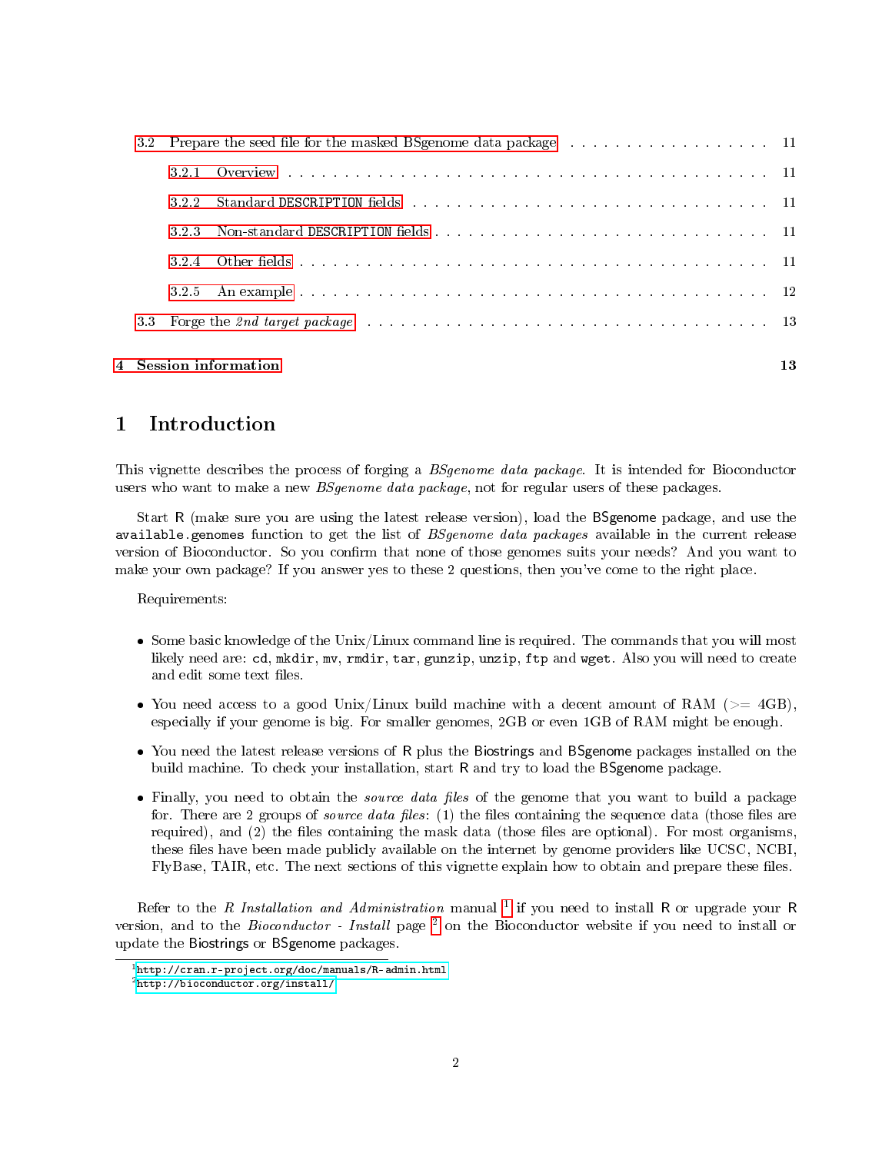|                                                                    | 4 Session information |       |  |  |  |
|--------------------------------------------------------------------|-----------------------|-------|--|--|--|
|                                                                    | 3.3                   |       |  |  |  |
|                                                                    |                       | 325   |  |  |  |
|                                                                    |                       | 3.2.4 |  |  |  |
|                                                                    |                       | 3.2.3 |  |  |  |
|                                                                    |                       | 322   |  |  |  |
|                                                                    |                       | 3.2.1 |  |  |  |
| 3.2 Prepare the seed file for the masked BS genome data package 11 |                       |       |  |  |  |

### <span id="page-1-0"></span>1 Introduction

This vignette describes the process of forging a BSgenome data package. It is intended for Bioconductor users who want to make a new *BSgenome data package*, not for regular users of these packages.

Start R (make sure you are using the latest release version), load the BSgenome package, and use the available.genomes function to get the list of *BSgenome data packages* available in the current release version of Bioconductor. So you confirm that none of those genomes suits your needs? And you want to make your own package? If you answer yes to these 2 questions, then you've come to the right place.

Requirements:

- Some basic knowledge of the Unix/Linux command line is required. The commands that you will most likely need are: cd, mkdir, mv, rmdir, tar, gunzip, unzip, ftp and wget. Also you will need to create and edit some text files.
- You need access to a good Unix/Linux build machine with a decent amount of RAM ( $>$  = 4GB), especially if your genome is big. For smaller genomes, 2GB or even 1GB of RAM might be enough.
- You need the latest release versions of R plus the Biostrings and BSgenome packages installed on the build machine. To check your installation, start R and try to load the BSgenome package.
- Finally, you need to obtain the *source data files* of the genome that you want to build a package for. There are 2 groups of *source data files*: (1) the files containing the sequence data (those files are required), and  $(2)$  the files containing the mask data (those files are optional). For most organisms, these files have been made publicly available on the internet by genome providers like UCSC, NCBI, FlyBase, TAIR, etc. The next sections of this vignette explain how to obtain and prepare these files.

Refer to the R Installation and Administration manual <sup>[1](#page-1-1)</sup> if you need to install R or upgrade your R version, and to the *Bioconductor - Install* page  $^2$  $^2$  on the Bioconductor website if you need to install or update the Biostrings or BSgenome packages.

<span id="page-1-1"></span><sup>1</sup><http://cran.r-project.org/doc/manuals/R-admin.html>

<span id="page-1-2"></span><sup>2</sup><http://bioconductor.org/install/>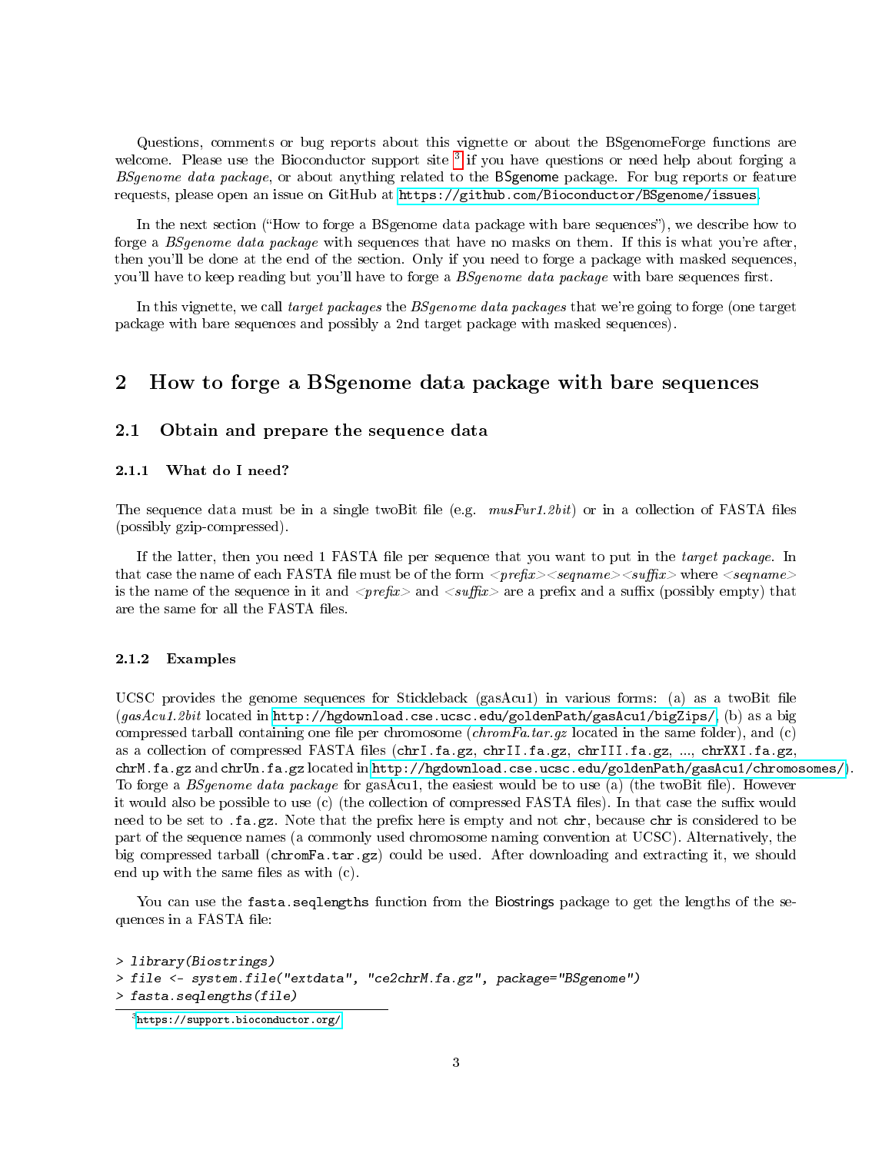Questions, comments or bug reports about this vignette or about the BSgenomeForge functions are welcome. Please use the Bioconductor support site <sup>[3](#page-2-4)</sup> if you have questions or need help about forging a BSgenome data package, or about anything related to the BSgenome package. For bug reports or feature requests, please open an issue on GitHub at [https://github.com/Bioconductor/BSgenome/issues.](https://github.com/Bioconductor/BSgenome/issues)

In the next section ("How to forge a BSgenome data package with bare sequences"), we describe how to forge a *BSgenome data package* with sequences that have no masks on them. If this is what you're after, then you'll be done at the end of the section. Only if you need to forge a package with masked sequences, you'll have to keep reading but you'll have to forge a *BSgenome data package* with bare sequences first.

In this vignette, we call target packages the BSgenome data packages that we're going to forge (one target package with bare sequences and possibly a 2nd target package with masked sequences).

### <span id="page-2-0"></span>2 How to forge a BSgenome data package with bare sequences

### <span id="page-2-1"></span>2.1 Obtain and prepare the sequence data

### <span id="page-2-2"></span>2.1.1 What do I need?

The sequence data must be in a single twoBit file (e.g.  $musFur1.2bit$ ) or in a collection of FASTA files (possibly gzip-compressed).

If the latter, then you need 1 FASTA file per sequence that you want to put in the *target package*. In that case the name of each FASTA file must be of the form  $\langle\mathit{prefix}\rangle\langle\mathit{segment}\rangle\langle\mathit{suffix}\rangle$  where  $\langle\mathit{segment}\rangle$ is the name of the sequence in it and  $\langle\text{prefix}\rangle$  and  $\langle\text{suffix}\rangle$  are a prefix and a suffix (possibly empty) that are the same for all the FASTA files.

#### <span id="page-2-3"></span>2.1.2 Examples

UCSC provides the genome sequences for Stickleback (gasAcu1) in various forms: (a) as a twoBit file  $(gasAcu1.2bit$  located in [http://hgdownload.cse.ucsc.edu/goldenPath/gasAcu1/bigZips/,](http://hgdownload.cse.ucsc.edu/goldenPath/gasAcu1/bigZips/) (b) as a big compressed tarball containing one file per chromosome (*chromFa.tar.gz* located in the same folder), and (c) as a collection of compressed FASTA files (chrI.fa.gz, chrII.fa.gz, chrIII.fa.gz, ..., chrXXI.fa.gz, chrM.fa.gz and chrUn.fa.gz located in [http://hgdownload.cse.ucsc.edu/goldenPath/gasAcu1/chromosomes/\)](http://hgdownload.cse.ucsc.edu/goldenPath/gasAcu1/chromosomes/). To forge a *BSgenome data package* for gasAcu1, the easiest would be to use (a) (the twoBit file). However it would also be possible to use  $(c)$  (the collection of compressed FASTA files). In that case the suffix would need to be set to .fa.gz. Note that the prefix here is empty and not chr, because chr is considered to be part of the sequence names (a commonly used chromosome naming convention at UCSC). Alternatively, the big compressed tarball (chromFa.tar.gz) could be used. After downloading and extracting it, we should end up with the same files as with  $(c)$ .

You can use the fasta.seqlengths function from the Biostrings package to get the lengths of the sequences in a FASTA file:

```
> library(Biostrings)
> file <- system.file("extdata", "ce2chrM.fa.gz", package="BSgenome")
> fasta.seqlengths(file)
```
<span id="page-2-4"></span><sup>3</sup><https://support.bioconductor.org/>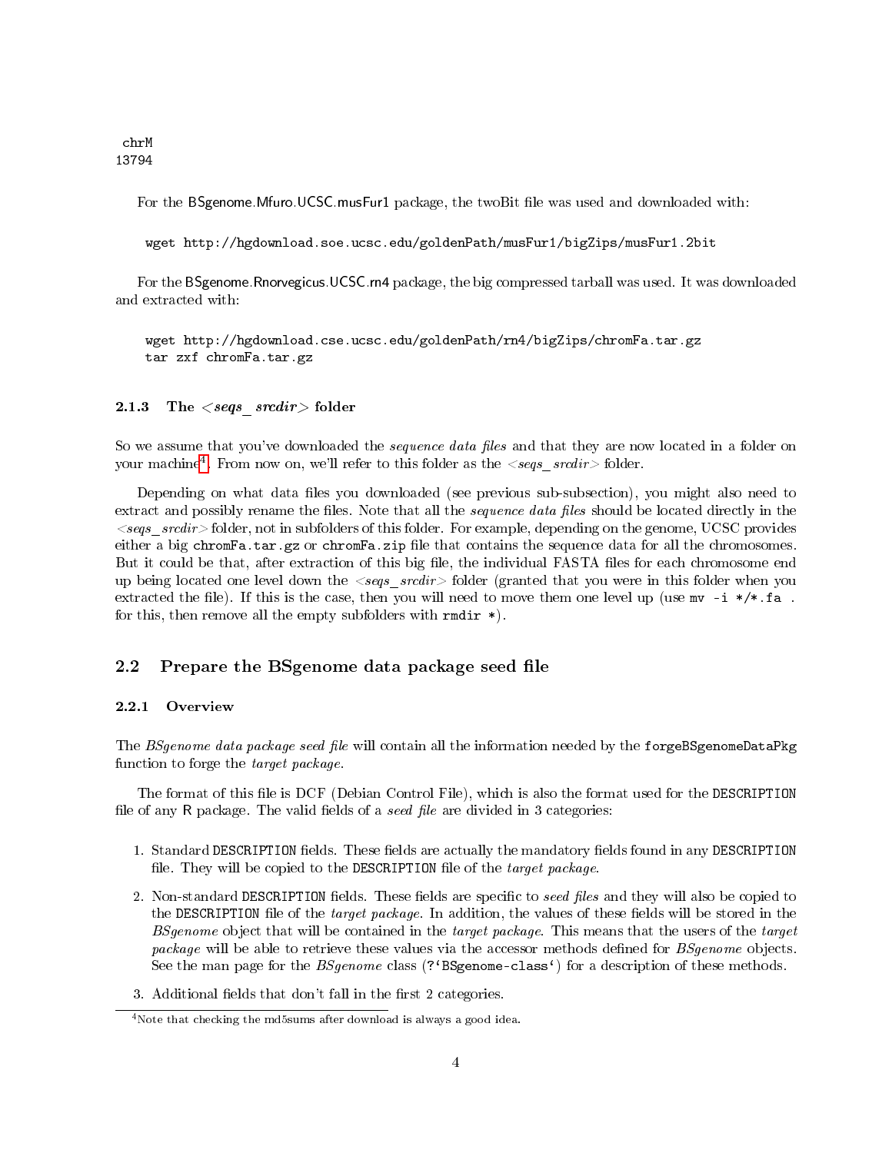chrM 13794

For the BSgenome.Mfuro.UCSC.musFur1 package, the twoBit file was used and downloaded with:

wget http://hgdownload.soe.ucsc.edu/goldenPath/musFur1/bigZips/musFur1.2bit

For the BSgenome.Rnorvegicus.UCSC.rn4 package, the big compressed tarball was used. It was downloaded and extracted with:

wget http://hgdownload.cse.ucsc.edu/goldenPath/rn4/bigZips/chromFa.tar.gz tar zxf chromFa.tar.gz

### <span id="page-3-0"></span> $2.1.3$  The  $<$ seqs  $\mathit{sredir}$  folder

So we assume that you've downloaded the *sequence data files* and that they are now located in a folder on your machine<sup>[4](#page-3-3)</sup>. From now on, we'll refer to this folder as the  $\langle \textit{seqs} \textit{ } \textit{sredir} \rangle$  folder.

Depending on what data files you downloaded (see previous sub-subsection), you might also need to extract and possibly rename the files. Note that all the *sequence data files* should be located directly in the  $\langle$ seqs  $srcdir$  folder, not in subfolders of this folder. For example, depending on the genome, UCSC provides either a big chromFa.tar.gz or chromFa.zip file that contains the sequence data for all the chromosomes. But it could be that, after extraction of this big file, the individual FASTA files for each chromosome end up being located one level down the  $\langle \text{seqs} \cdot \text{sredir}\rangle$  folder (granted that you were in this folder when you extracted the file). If this is the case, then you will need to move them one level up (use  $mv -i */* .fa$ . for this, then remove all the empty subfolders with  $\text{rmdir *}$ ).

### <span id="page-3-1"></span>2.2 Prepare the  $BS$ genome data package seed file

#### <span id="page-3-2"></span>2.2.1 Overview

The BSgenome data package seed file will contain all the information needed by the forgeBSgenomeDataPkg function to forge the target package.

The format of this file is DCF (Debian Control File), which is also the format used for the DESCRIPTION file of any R package. The valid fields of a *seed file* are divided in 3 categories:

- 1. Standard DESCRIPTION fields. These fields are actually the mandatory fields found in any DESCRIPTION file. They will be copied to the DESCRIPTION file of the *target package*.
- 2. Non-standard DESCRIPTION fields. These fields are specific to seed files and they will also be copied to the DESCRIPTION file of the *target package*. In addition, the values of these fields will be stored in the BSgenome object that will be contained in the target package. This means that the users of the target package will be able to retrieve these values via the accessor methods defined for *BSgenome* objects. See the man page for the *BSgenome* class (?'BSgenome-class') for a description of these methods.
- 3. Additional fields that don't fall in the first 2 categories.

<span id="page-3-3"></span><sup>&</sup>lt;sup>4</sup>Note that checking the md5sums after download is always a good idea.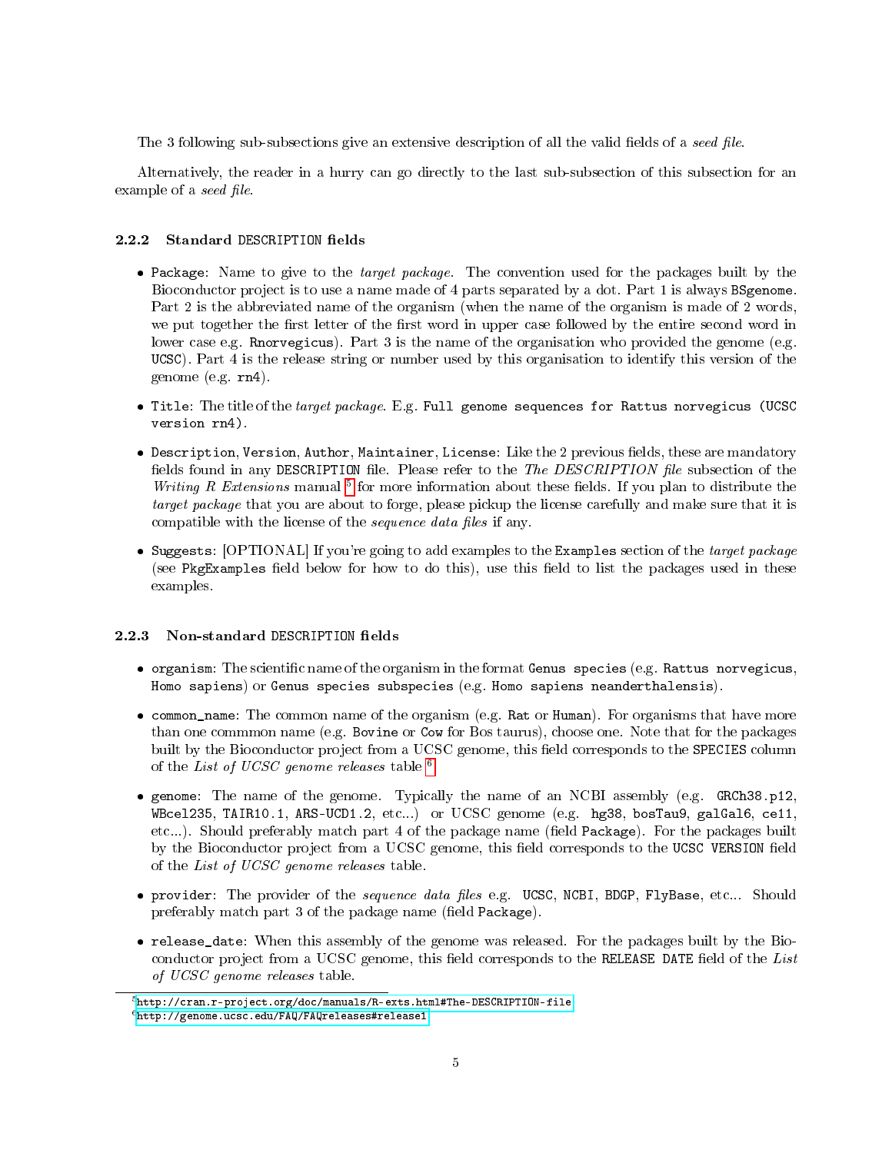The 3 following sub-subsections give an extensive description of all the valid fields of a seed file.

Alternatively, the reader in a hurry can go directly to the last sub-subsection of this subsection for an example of a seed file.

### <span id="page-4-0"></span>2.2.2 Standard DESCRIPTION fields

- Package: Name to give to the *target package*. The convention used for the packages built by the Bioconductor project is to use a name made of 4 parts separated by a dot. Part 1 is always BSgenome. Part 2 is the abbreviated name of the organism (when the name of the organism is made of 2 words, we put together the first letter of the first word in upper case followed by the entire second word in lower case e.g. Rnorvegicus). Part 3 is the name of the organisation who provided the genome (e.g. UCSC). Part 4 is the release string or number used by this organisation to identify this version of the genome (e.g. rn4).
- $\bullet$  Title: The title of the *target package*. E.g. Full genome sequences for Rattus norvegicus (UCSC version rn4).
- $\bullet$  Description, Version, Author, Maintainer, License: Like the 2 previous fields, these are mandatory fields found in any DESCRIPTION file. Please refer to the The DESCRIPTION file subsection of the Writing R Extensions manual  $^5$  $^5$  for more information about these fields. If you plan to distribute the target package that you are about to forge, please pickup the license carefully and make sure that it is compatible with the license of the *sequence data files* if any.
- Suggests: [OPTIONAL] If you're going to add examples to the Examples section of the target package (see PkgExamples field below for how to do this), use this field to list the packages used in these examples.

### <span id="page-4-1"></span>2.2.3 Non-standard DESCRIPTION fields

- $\bullet$  organism: The scientific name of the organism in the format Genus species (e.g. Rattus norvegicus, Homo sapiens) or Genus species subspecies (e.g. Homo sapiens neanderthalensis).
- common\_name: The common name of the organism (e.g. Rat or Human). For organisms that have more than one commmon name (e.g. Bovine or Cow for Bos taurus), choose one. Note that for the packages built by the Bioconductor project from a UCSC genome, this field corresponds to the SPECIES column of the List of UCSC genome releases table <sup>[6](#page-4-3)</sup>.
- genome: The name of the genome. Typically the name of an NCBI assembly (e.g. GRCh38.p12, WBcel235, TAIR10.1, ARS-UCD1.2, etc...) or UCSC genome (e.g. hg38, bosTau9, galGal6, ce11, etc...). Should preferably match part 4 of the package name (field Package). For the packages built by the Bioconductor project from a UCSC genome, this field corresponds to the UCSC VERSION field of the List of UCSC genome releases table.
- provider: The provider of the *sequence data files* e.g. UCSC, NCBI, BDGP, FlyBase, etc... Should preferably match part 3 of the package name (field Package).
- release\_date: When this assembly of the genome was released. For the packages built by the Bioconductor project from a UCSC genome, this field corresponds to the RELEASE DATE field of the List of UCSC genome releases table.

<span id="page-4-2"></span><sup>5</sup><http://cran.r-project.org/doc/manuals/R-exts.html#The-DESCRIPTION-file>

<span id="page-4-3"></span><sup>6</sup><http://genome.ucsc.edu/FAQ/FAQreleases#release1>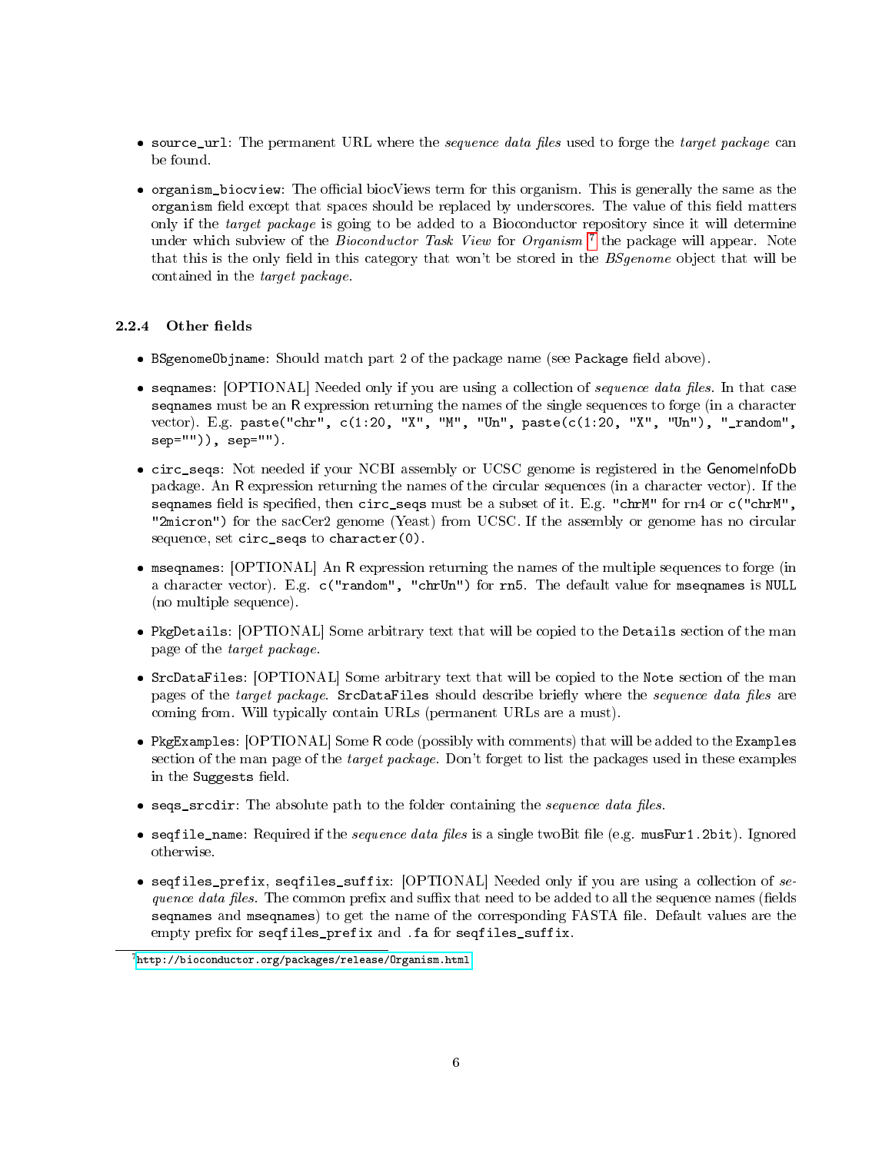- **source\_url:** The permanent URL where the *sequence data files* used to forge the *target package* can be found.
- $\bullet$  organism\_biocview: The official biocViews term for this organism. This is generally the same as the organism field except that spaces should be replaced by underscores. The value of this field matters only if the *target package* is going to be added to a Bioconductor repository since it will determine under which subview of the Bioconductor Task View for Organism<sup>[7](#page-5-1)</sup> the package will appear. Note that this is the only field in this category that won't be stored in the *BSgenome* object that will be contained in the target package.

### <span id="page-5-0"></span>2.2.4 Other fields

- $\bullet$  BSgenomeObjname: Should match part 2 of the package name (see Package field above).
- **seqnames:** [OPTIONAL] Needed only if you are using a collection of *sequence data files*. In that case seqnames must be an R expression returning the names of the single sequences to forge (in a character vector). E.g. paste("chr", c(1:20, "X", "M", "Un", paste(c(1:20, "X", "Un"), "\_random", sep="")), sep="").
- circ\_seqs: Not needed if your NCBI assembly or UCSC genome is registered in the GenomeInfoDb package. An R expression returning the names of the circular sequences (in a character vector). If the seqnames field is specified, then circ\_seqs must be a subset of it. E.g. "chrM" for rn4 or c("chrM", "2micron") for the sacCer2 genome (Yeast) from UCSC. If the assembly or genome has no circular sequence, set circ\_seqs to character(0).
- mseqnames: [OPTIONAL] An R expression returning the names of the multiple sequences to forge (in a character vector). E.g. c("random", "chrUn") for rn5. The default value for mseqnames is NULL (no multiple sequence).
- PkgDetails: [OPTIONAL] Some arbitrary text that will be copied to the Details section of the man page of the target package.
- SrcDataFiles: [OPTIONAL] Some arbitrary text that will be copied to the Note section of the man pages of the target package. SrcDataFiles should describe briefly where the sequence data files are coming from. Will typically contain URLs (permanent URLs are a must).
- PkgExamples: [OPTIONAL] Some R code (possibly with comments) that will be added to the Examples section of the man page of the *target package*. Don't forget to list the packages used in these examples in the Suggests field.
- $\bullet$  seqs\_srcdir: The absolute path to the folder containing the sequence data files.
- **seqfile\_name**: Required if the *sequence data files* is a single twoBit file (e.g. musFur1.2bit). Ignored otherwise.
- $\bullet$  seqfiles\_prefix, seqfiles\_suffix: [OPTIONAL] Needed only if you are using a collection of  $se$ quence data files. The common prefix and suffix that need to be added to all the sequence names (fields sequames and msequames) to get the name of the corresponding FASTA file. Default values are the empty prefix for seqfiles\_prefix and .fa for seqfiles\_suffix.

<span id="page-5-1"></span><sup>7</sup><http://bioconductor.org/packages/release/Organism.html>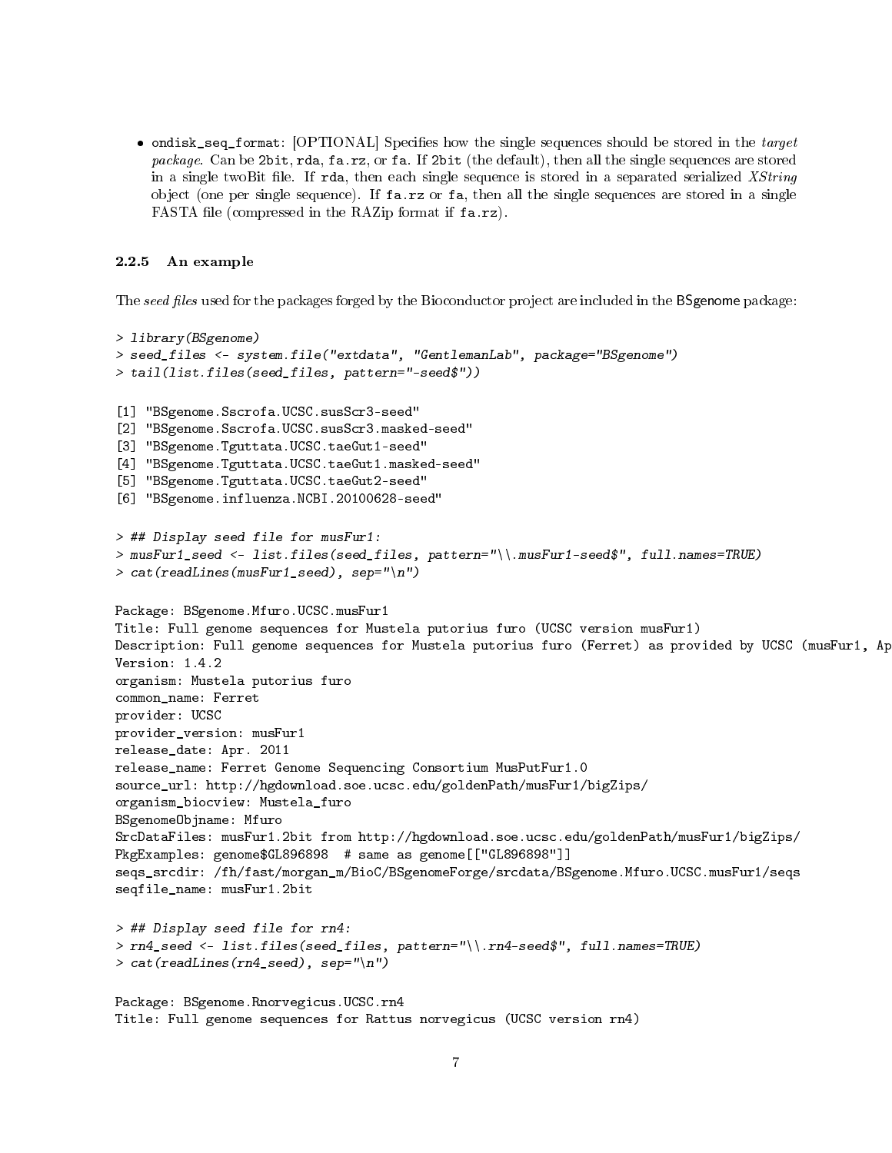• ondisk\_seq\_format: [OPTIONAL] Specifies how the single sequences should be stored in the *target* package. Can be 2bit, rda, fa.rz, or fa. If 2bit (the default), then all the single sequences are stored in a single twoBit file. If rda, then each single sequence is stored in a separated serialized XString object (one per single sequence). If  $fa, rz$  or  $fa$ , then all the single sequences are stored in a single FASTA file (compressed in the RAZip format if fa.rz).

### <span id="page-6-0"></span>2.2.5 An example

The seed files used for the packages forged by the Bioconductor project are included in the BSgenome package:

```
> library(BSgenome)
> seed_files <- system.file("extdata", "GentlemanLab", package="BSgenome")
> tail(list.files(seed_files, pattern="-seed$"))
[1] "BSgenome.Sscrofa.UCSC.susScr3-seed"
[2] "BSgenome.Sscrofa.UCSC.susScr3.masked-seed"
[3] "BSgenome.Tguttata.UCSC.taeGut1-seed"
[4] "BSgenome.Tguttata.UCSC.taeGut1.masked-seed"
[5] "BSgenome.Tguttata.UCSC.taeGut2-seed"
[6] "BSgenome.influenza.NCBI.20100628-seed"
> ## Display seed file for musFur1:
> musFur1_seed <- list.files(seed_files, pattern="\\.musFur1-seed$", full.names=TRUE)
> cat(readLines(musFur1_seed), sep="\n")
Package: BSgenome.Mfuro.UCSC.musFur1
Title: Full genome sequences for Mustela putorius furo (UCSC version musFur1)
Description: Full genome sequences for Mustela putorius furo (Ferret) as provided by UCSC (musFur1, Ap
Version: 1.4.2
organism: Mustela putorius furo
common_name: Ferret
provider: UCSC
provider_version: musFur1
release_date: Apr. 2011
release_name: Ferret Genome Sequencing Consortium MusPutFur1.0
source_url: http://hgdownload.soe.ucsc.edu/goldenPath/musFur1/bigZips/
organism_biocview: Mustela_furo
BSgenomeObjname: Mfuro
SrcDataFiles: musFur1.2bit from http://hgdownload.soe.ucsc.edu/goldenPath/musFur1/bigZips/
PkgExamples: genome$GL896898 # same as genome[["GL896898"]]
seqs_srcdir: /fh/fast/morgan_m/BioC/BSgenomeForge/srcdata/BSgenome.Mfuro.UCSC.musFur1/seqs
seqfile_name: musFur1.2bit
> ## Display seed file for rn4:
> rn4_seed <- list.files(seed_files, pattern="\\.rn4-seed$", full.names=TRUE)
> cat(readLines(rn4\_seed), sep="\n'')Package: BSgenome.Rnorvegicus.UCSC.rn4
Title: Full genome sequences for Rattus norvegicus (UCSC version rn4)
```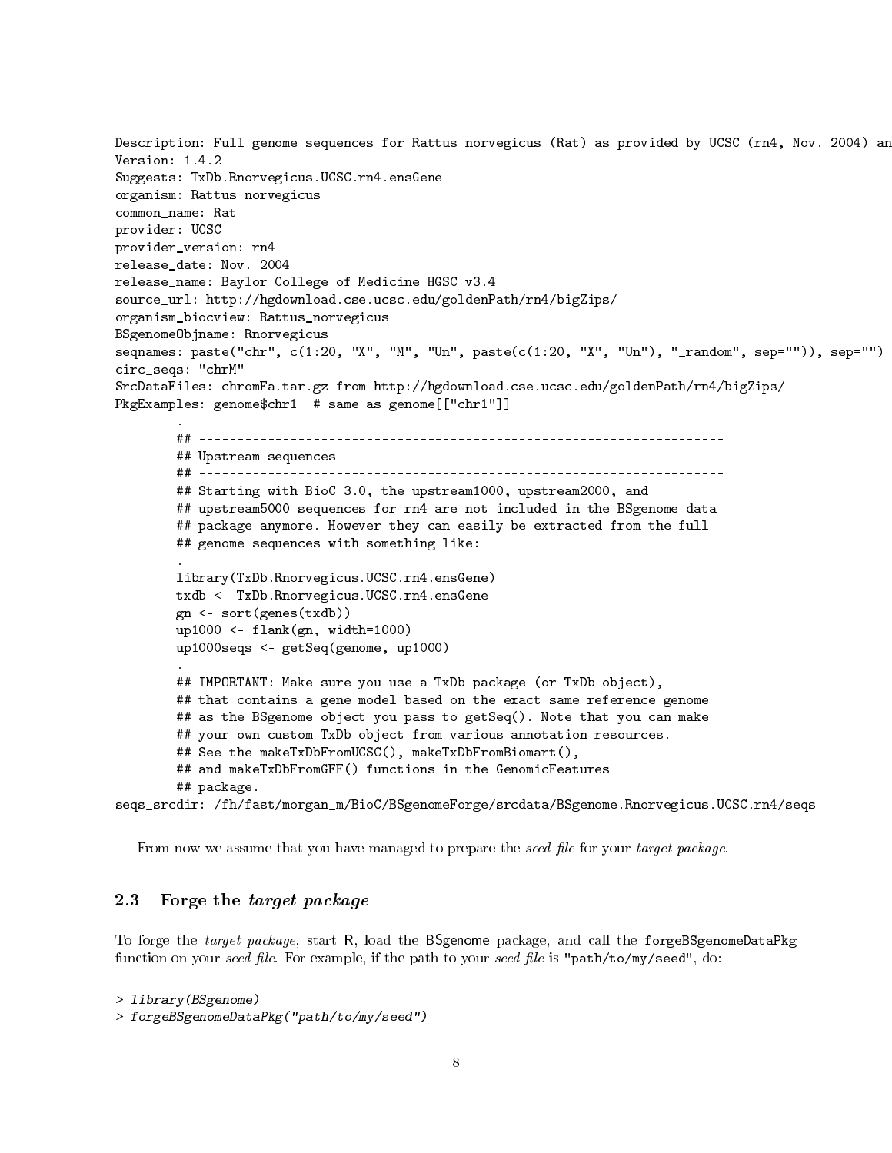```
Description: Full genome sequences for Rattus norvegicus (Rat) as provided by UCSC (rn4, Nov. 2004) an
Version: 1.4.2
Suggests: TxDb.Rnorvegicus.UCSC.rn4.ensGene
organism: Rattus norvegicus
common_name: Rat
provider: UCSC
provider_version: rn4
release_date: Nov. 2004
release_name: Baylor College of Medicine HGSC v3.4
source url: http://hgdownload.cse.ucsc.edu/goldenPath/rn4/bigZips/
organism_biocview: Rattus_norvegicus
BSgenomeObjname: Rnorvegicus
seqnames: paste("chr", c(1:20, "X", "M", "Un", paste(c(1:20, "X", "Un"), "_random", sep="")), sep="")
circ_seqs: "chrM"
SrcDataFiles: chromFa.tar.gz from http://hgdownload.cse.ucsc.edu/goldenPath/rn4/bigZips/
PkgExamples: genome$chr1 # same as genome[["chr1"]]
        .
        ## ---------------------------------------------------------------------
        ## Upstream sequences
        ## ---------------------------------------------------------------------
        ## Starting with BioC 3.0, the upstream1000, upstream2000, and
        ## upstream5000 sequences for rn4 are not included in the BSgenome data
        ## package anymore. However they can easily be extracted from the full
        ## genome sequences with something like:
        .
        library(TxDb.Rnorvegicus.UCSC.rn4.ensGene)
        txdb <- TxDb.Rnorvegicus.UCSC.rn4.ensGene
        gn <- sort(genes(txdb))
        up1000 <- flank(gn, width=1000)
        up1000seqs <- getSeq(genome, up1000)
        .
        ## IMPORTANT: Make sure you use a TxDb package (or TxDb object),
        ## that contains a gene model based on the exact same reference genome
        ## as the BSgenome object you pass to getSeq(). Note that you can make
        ## your own custom TxDb object from various annotation resources.
        ## See the makeTxDbFromUCSC(), makeTxDbFromBiomart(),
        ## and makeTxDbFromGFF() functions in the GenomicFeatures
        ## package.
```
seqs\_srcdir: /fh/fast/morgan\_m/BioC/BSgenomeForge/srcdata/BSgenome.Rnorvegicus.UCSC.rn4/seqs

From now we assume that you have managed to prepare the seed file for your target package.

### <span id="page-7-0"></span>2.3 Forge the target package

To forge the target package, start R, load the BSgenome package, and call the forgeBSgenomeDataPkg function on your seed file. For example, if the path to your seed file is " $path/to/my/seed$ ", do:

```
> library(BSgenome)
> forgeBSgenomeDataPkg("path/to/my/seed")
```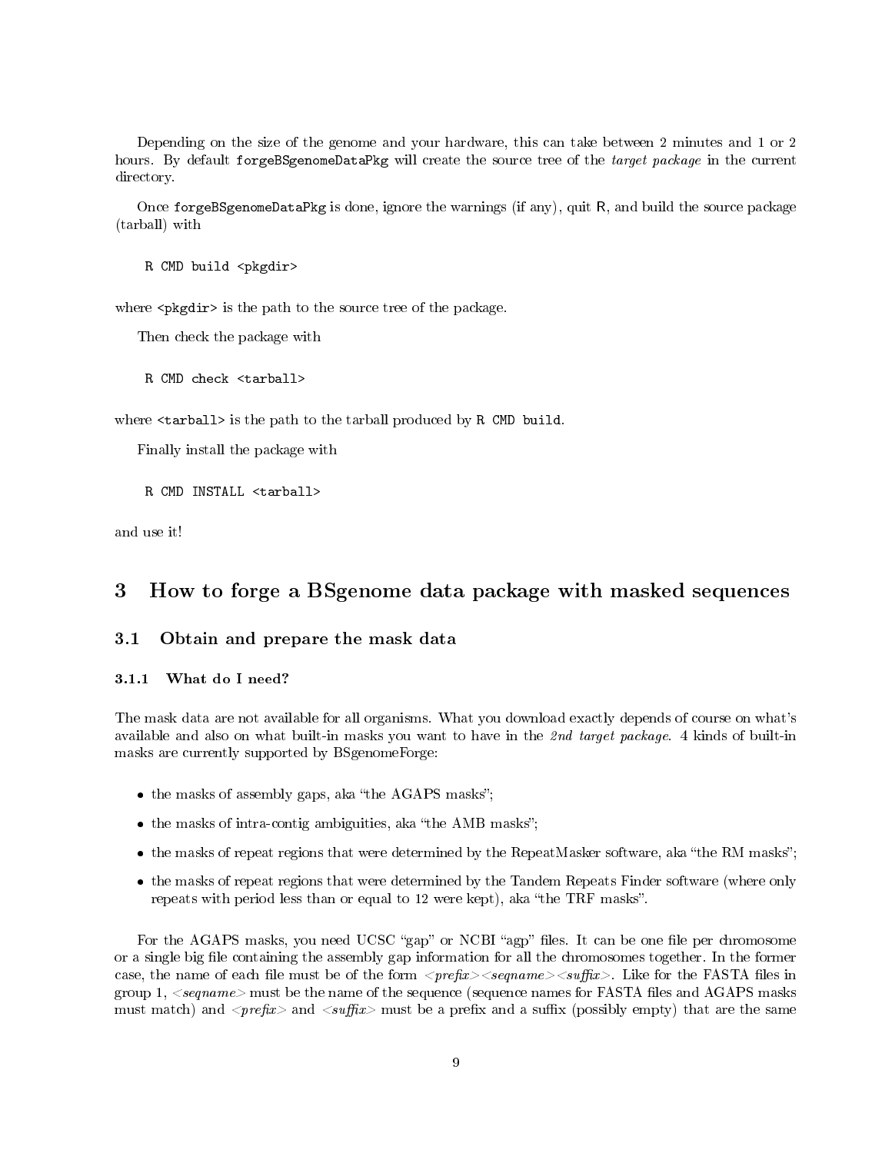Depending on the size of the genome and your hardware, this can take between 2 minutes and 1 or 2 hours. By default forgeBSgenomeDataPkg will create the source tree of the target package in the current directory.

Once forgeBSgenomeDataPkg is done, ignore the warnings (if any), quit R, and build the source package (tarball) with

R CMD build <pkgdir>

where  $\langle$ pkgdir $\rangle$  is the path to the source tree of the package.

Then check the package with

R CMD check <tarball>

where <tarball> is the path to the tarball produced by R CMD build.

Finally install the package with

R CMD INSTALL <tarball>

and use it!

### <span id="page-8-0"></span>3 How to forge a BSgenome data package with masked sequences

### <span id="page-8-1"></span>3.1 Obtain and prepare the mask data

#### <span id="page-8-2"></span>3.1.1 What do I need?

The mask data are not available for all organisms. What you download exactly depends of course on what's available and also on what built-in masks you want to have in the 2nd target package. 4 kinds of built-in masks are currently supported by BSgenomeForge:

- $\bullet$  the masks of assembly gaps, aka "the AGAPS masks";
- $\bullet$  the masks of intra-contig ambiguities, aka "the AMB masks";
- $\bullet$  the masks of repeat regions that were determined by the RepeatMasker software, aka "the RM masks";
- the masks of repeat regions that were determined by the Tandem Repeats Finder software (where only repeats with period less than or equal to  $12$  were kept), aka "the TRF masks".

For the AGAPS masks, you need UCSC "gap" or NCBI "agp" files. It can be one file per chromosome or a single big file containing the assembly gap information for all the chromosomes together. In the former case, the name of each file must be of the form  $\langle prefix \rangle \langle \langle \text{segment} \rangle \rangle$ . Like for the FASTA files in group 1,  $\leq$ seqname $>$  must be the name of the sequence (sequence names for FASTA files and AGAPS masks must match) and  $\langle\text{prefix} \rangle$  and  $\langle\text{suffix} \rangle$  must be a prefix and a suffix (possibly empty) that are the same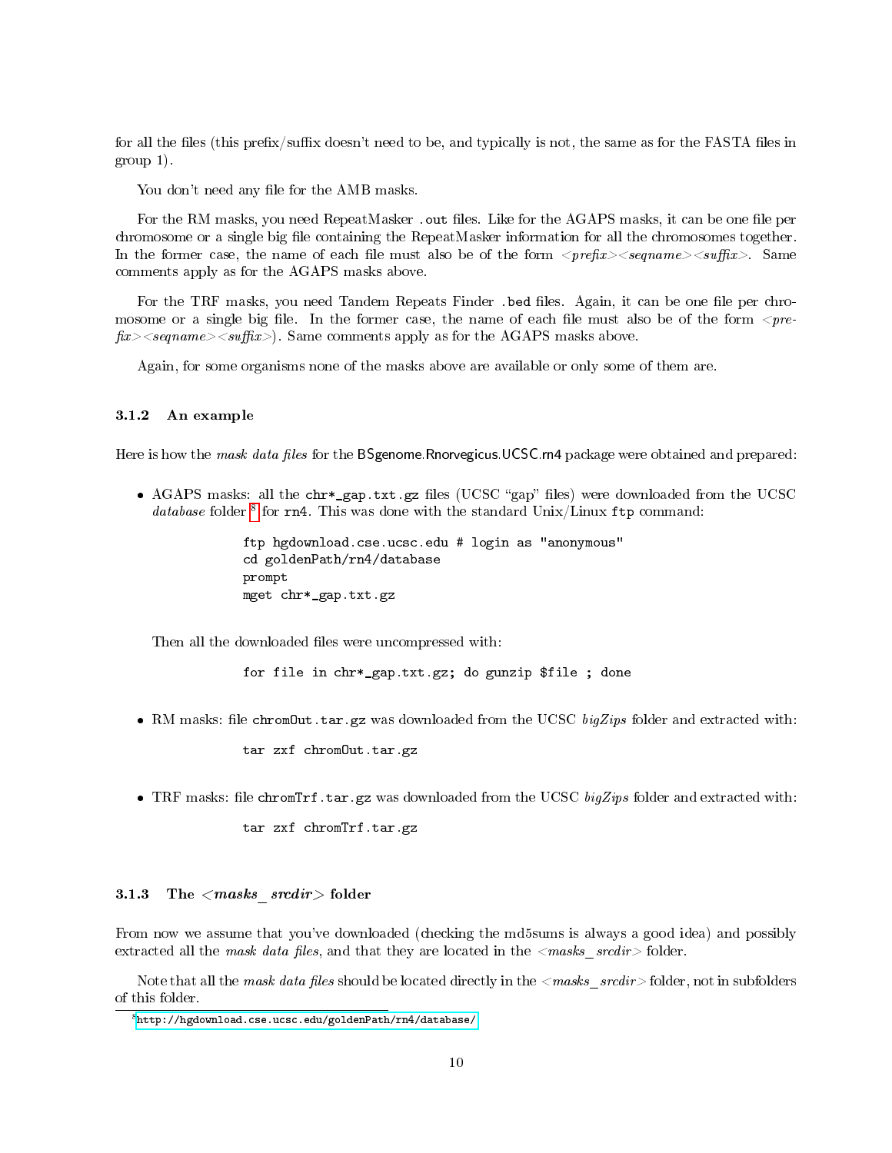for all the files (this prefix/suffix doesn't need to be, and typically is not, the same as for the FASTA files in group 1).

You don't need any file for the AMB masks.

For the RM masks, you need RepeatMasker . out files. Like for the AGAPS masks, it can be one file per chromosome or a single big le containing the RepeatMasker information for all the chromosomes together. In the former case, the name of each file must also be of the form  $\langle\mathit{prefix}\rangle\langle\mathit{searchx}\rangle$ . Same comments apply as for the AGAPS masks above.

For the TRF masks, you need Tandem Repeats Finder .bed files. Again, it can be one file per chromosome or a single big file. In the former case, the name of each file must also be of the form  $\langle pre$  $fix$  sequame  $\ge$  suffix  $>$ ). Same comments apply as for the AGAPS masks above.

Again, for some organisms none of the masks above are available or only some of them are.

#### <span id="page-9-0"></span>3.1.2 An example

Here is how the mask data files for the BSgenome.Rnorvegicus.UCSC.rn4 package were obtained and prepared:

• AGAPS masks: all the chr\*\_gap.txt.gz files (UCSC "gap" files) were downloaded from the UCSC database folder  $8$  for rn4. This was done with the standard Unix/Linux ftp command:

> ftp hgdownload.cse.ucsc.edu # login as "anonymous" cd goldenPath/rn4/database prompt mget chr\*\_gap.txt.gz

Then all the downloaded files were uncompressed with:

for file in chr\*\_gap.txt.gz; do gunzip \$file ; done

• RM masks: file chromOut.tar.gz was downloaded from the UCSC  $bigZips$  folder and extracted with:

tar zxf chromOut.tar.gz

TRF masks: file chromTrf.tar.gz was downloaded from the UCSC bigZips folder and extracted with:

tar zxf chromTrf.tar.gz

#### <span id="page-9-1"></span>3.1.3 The <masks\_srcdir> folder

From now we assume that you've downloaded (checking the md5sums is always a good idea) and possibly extracted all the mask data files, and that they are located in the  $\langle$  masks  $\vert$  srcdir> folder.

Note that all the mask data files should be located directly in the  $\langle$  masks  $\;$  srcdir>folder, not in subfolders of this folder.

<span id="page-9-2"></span><sup>8</sup><http://hgdownload.cse.ucsc.edu/goldenPath/rn4/database/>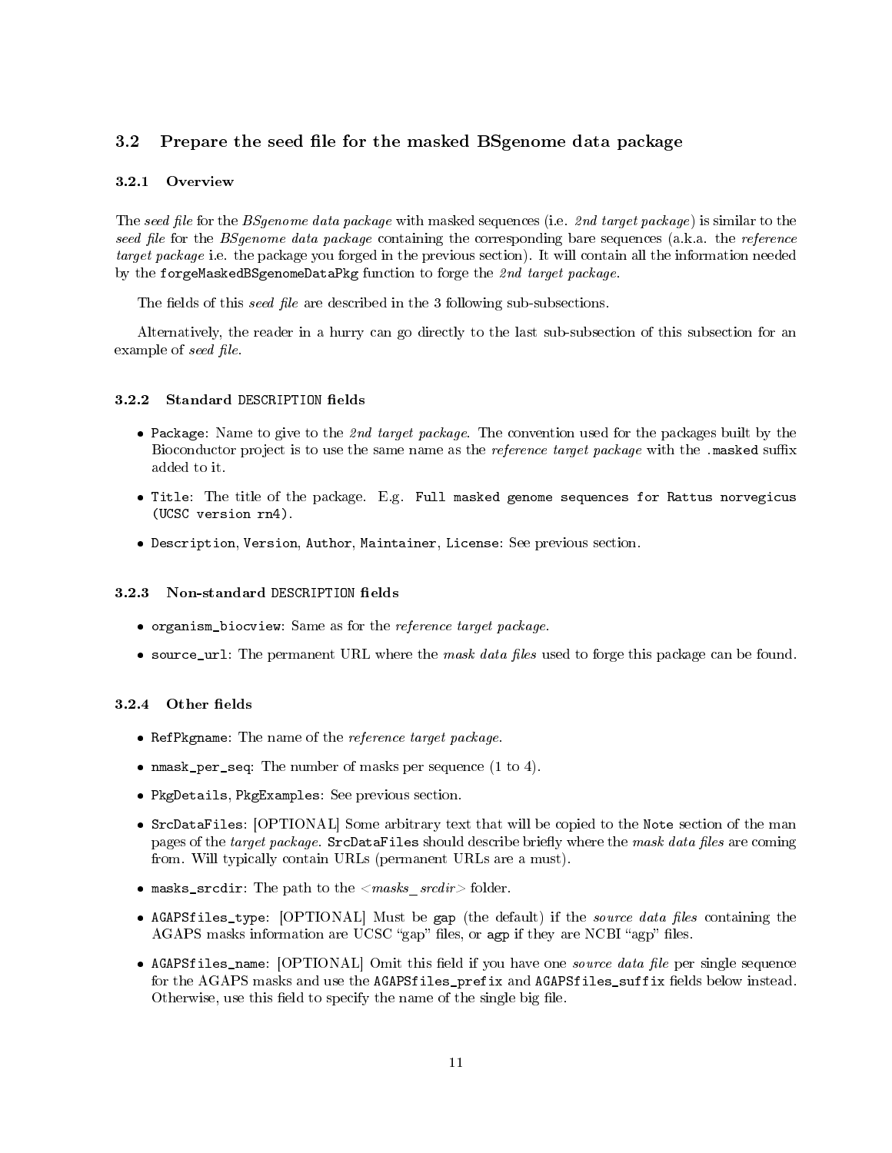### <span id="page-10-0"></span>3.2 Prepare the seed file for the masked BSgenome data package

### <span id="page-10-1"></span>3.2.1 Overview

The seed file for the BSgenome data package with masked sequences (i.e. 2nd target package) is similar to the seed file for the BSgenome data package containing the corresponding bare sequences (a.k.a. the reference target package i.e. the package you forged in the previous section). It will contain all the information needed by the forgeMaskedBSgenomeDataPkg function to forge the 2nd target package.

The fields of this seed file are described in the 3 following sub-subsections.

Alternatively, the reader in a hurry can go directly to the last sub-subsection of this subsection for an example of seed file.

### <span id="page-10-2"></span>3.2.2 Standard DESCRIPTION fields

- **Package:** Name to give to the 2nd target package. The convention used for the packages built by the Bioconductor project is to use the same name as the *reference target package* with the .masked suffix added to it.
- Title: The title of the package. E.g. Full masked genome sequences for Rattus norvegicus (UCSC version rn4).
- Description, Version, Author, Maintainer, License: See previous section.

### <span id="page-10-3"></span>3.2.3 Non-standard DESCRIPTION fields

- organism\_biocview: Same as for the reference target package.
- $\bullet$  source\_url: The permanent URL where the *mask data files* used to forge this package can be found.

### <span id="page-10-4"></span>3.2.4 Other fields

- RefPkgname: The name of the *reference target package*.
- nmask\_per\_seq: The number of masks per sequence (1 to 4).
- PkgDetails, PkgExamples: See previous section.
- SrcDataFiles: [OPTIONAL] Some arbitrary text that will be copied to the Note section of the man pages of the target package. SrcDataFiles should describe briefly where the mask data files are coming from. Will typically contain URLs (permanent URLs are a must).
- masks\_srcdir: The path to the  $<$ masks\_srcdir>folder.
- AGAPSfiles\_type: [OPTIONAL] Must be gap (the default) if the source data files containing the AGAPS masks information are UCSC "gap" files, or agp if they are NCBI "agp" files.
- AGAPSfiles\_name:  $[OPTIONAL]$  Omit this field if you have one *source data file* per single sequence for the AGAPS masks and use the AGAPSfiles\_prefix and AGAPSfiles\_suffix fields below instead. Otherwise, use this field to specify the name of the single big file.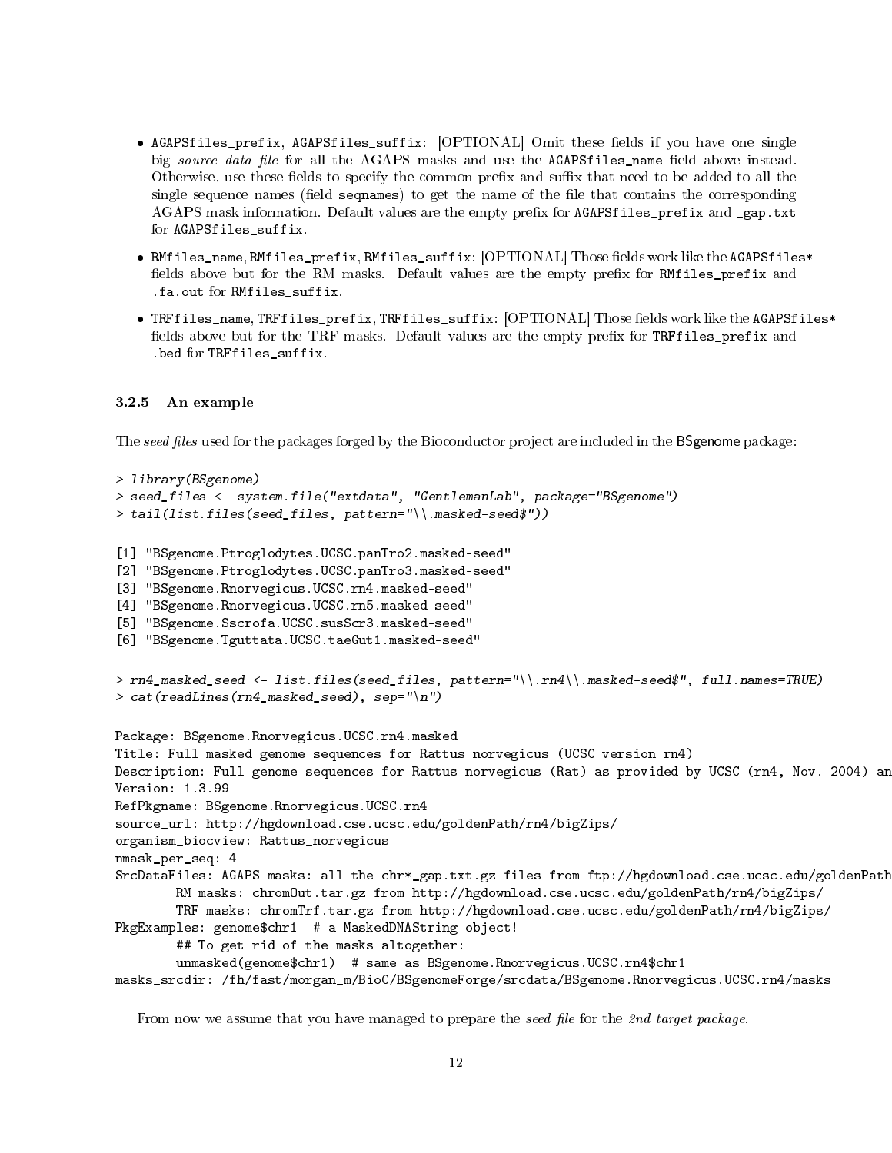- AGAPSfiles\_prefix, AGAPSfiles\_suffix: [OPTIONAL] Omit these fields if you have one single big source data file for all the AGAPS masks and use the AGAPSfiles\_name field above instead. Otherwise, use these fields to specify the common prefix and suffix that need to be added to all the single sequence names (field seqnames) to get the name of the file that contains the corresponding AGAPS mask information. Default values are the empty prefix for AGAPSfiles\_prefix and \_gap.txt for AGAPSfiles\_suffix.
- $\bullet$  RMfiles\_name, RMfiles\_prefix, RMfiles\_suffix:  $\hbox{[OPTIONAL]}$  Those fields work like the AGAPSfiles\* fields above but for the RM masks. Default values are the empty prefix for RMfiles\_prefix and .fa.out for RMfiles\_suffix.
- $\bullet$  TRFfiles\_name, TRFfiles\_prefix, TRFfiles\_suffix: [OPTIONAL] Thosefields work like the AGAPSfiles\* fields above but for the TRF masks. Default values are the empty prefix for TRFfiles\_prefix and .bed for TRFfiles\_suffix.

### <span id="page-11-0"></span>3.2.5 An example

The seed files used for the packages forged by the Bioconductor project are included in the BSgenome package:

```
> library(BSgenome)
> seed_files <- system.file("extdata", "GentlemanLab", package="BSgenome")
> tail(list.files(seed_files, pattern="\\.masked-seed$"))
[1] "BSgenome.Ptroglodytes.UCSC.panTro2.masked-seed"
[2] "BSgenome.Ptroglodytes.UCSC.panTro3.masked-seed"
[3] "BSgenome.Rnorvegicus.UCSC.rn4.masked-seed"
[4] "BSgenome.Rnorvegicus.UCSC.rn5.masked-seed"
[5] "BSgenome.Sscrofa.UCSC.susScr3.masked-seed"
[6] "BSgenome.Tguttata.UCSC.taeGut1.masked-seed"
> rn4_masked_seed <- list.files(seed_files, pattern="\\.rn4\\.masked-seed$", full.names=TRUE)
> cat(readLines(rn4\_masked\_seed), sep="\n'Package: BSgenome.Rnorvegicus.UCSC.rn4.masked
Title: Full masked genome sequences for Rattus norvegicus (UCSC version rn4)
Description: Full genome sequences for Rattus norvegicus (Rat) as provided by UCSC (rn4, Nov. 2004) an
Version: 1.3.99
RefPkgname: BSgenome.Rnorvegicus.UCSC.rn4
source_url: http://hgdownload.cse.ucsc.edu/goldenPath/rn4/bigZips/
organism_biocview: Rattus_norvegicus
nmask_per_seq: 4
SrcDataFiles: AGAPS masks: all the chr*_gap.txt.gz files from ftp://hgdownload.cse.ucsc.edu/goldenPath
       RM masks: chromOut.tar.gz from http://hgdownload.cse.ucsc.edu/goldenPath/rn4/bigZips/
       TRF masks: chromTrf.tar.gz from http://hgdownload.cse.ucsc.edu/goldenPath/rn4/bigZips/
PkgExamples: genome$chr1 # a MaskedDNAString object!
       ## To get rid of the masks altogether:
       unmasked(genome$chr1) # same as BSgenome.Rnorvegicus.UCSC.rn4$chr1
masks_srcdir: /fh/fast/morgan_m/BioC/BSgenomeForge/srcdata/BSgenome.Rnorvegicus.UCSC.rn4/masks
```
From now we assume that you have managed to prepare the seed file for the 2nd target package.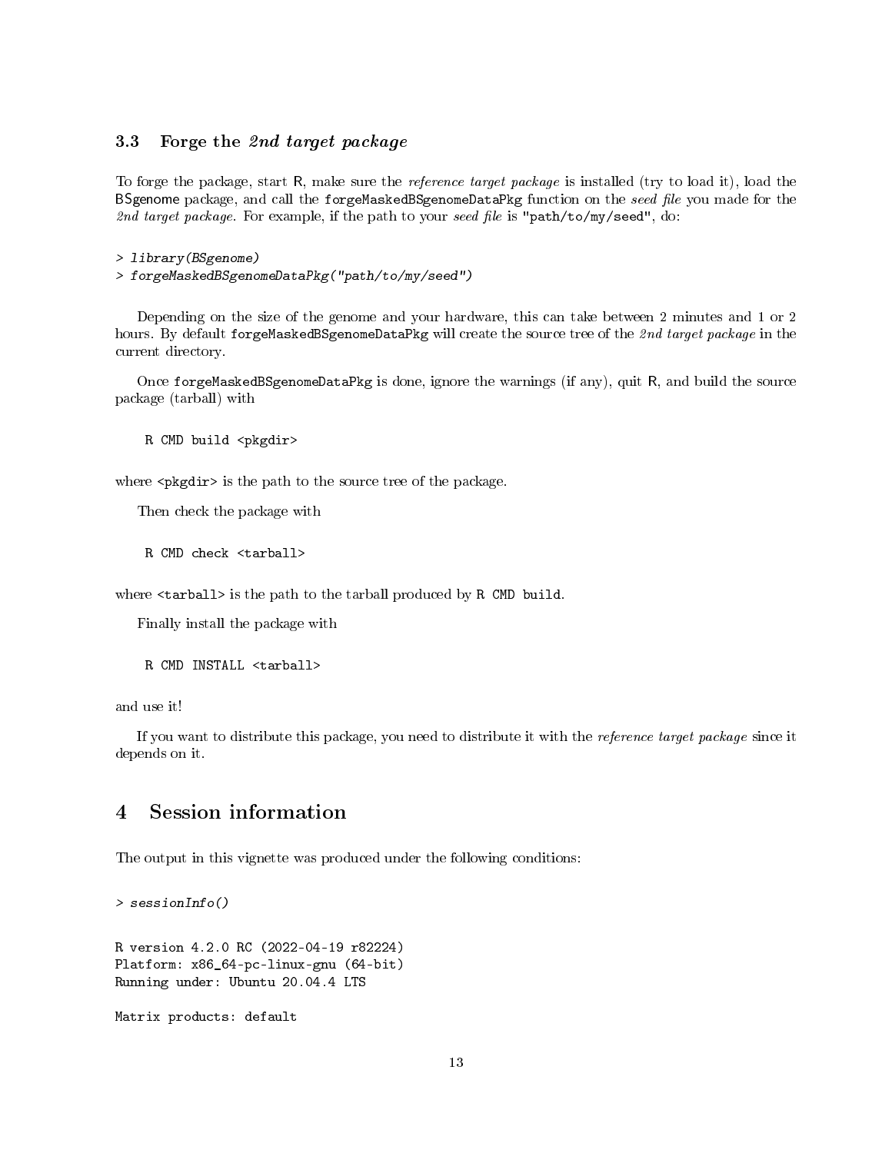### <span id="page-12-0"></span>3.3 Forge the 2nd target package

To forge the package, start R, make sure the *reference target package* is installed (try to load it), load the BSgenome package, and call the forgeMaskedBSgenomeDataPkg function on the seed file you made for the 2nd target package. For example, if the path to your seed file is "path/to/my/seed", do:

> library(BSgenome)

> forgeMaskedBSgenomeDataPkg("path/to/my/seed")

Depending on the size of the genome and your hardware, this can take between 2 minutes and 1 or 2 hours. By default forgeMaskedBSgenomeDataPkg will create the source tree of the 2nd target package in the current directory.

Once forgeMaskedBSgenomeDataPkg is done, ignore the warnings (if any), quit R, and build the source package (tarball) with

R CMD build <pkgdir>

where  $\langle \text{pkgdir} \rangle$  is the path to the source tree of the package.

Then check the package with

R CMD check <tarball>

where <tarball> is the path to the tarball produced by R CMD build.

Finally install the package with

R CMD INSTALL <tarball>

and use it!

If you want to distribute this package, you need to distribute it with the reference target package since it depends on it.

### <span id="page-12-1"></span>4 Session information

The output in this vignette was produced under the following conditions:

> sessionInfo()

```
R version 4.2.0 RC (2022-04-19 r82224)
Platform: x86_64-pc-linux-gnu (64-bit)
Running under: Ubuntu 20.04.4 LTS
```
Matrix products: default